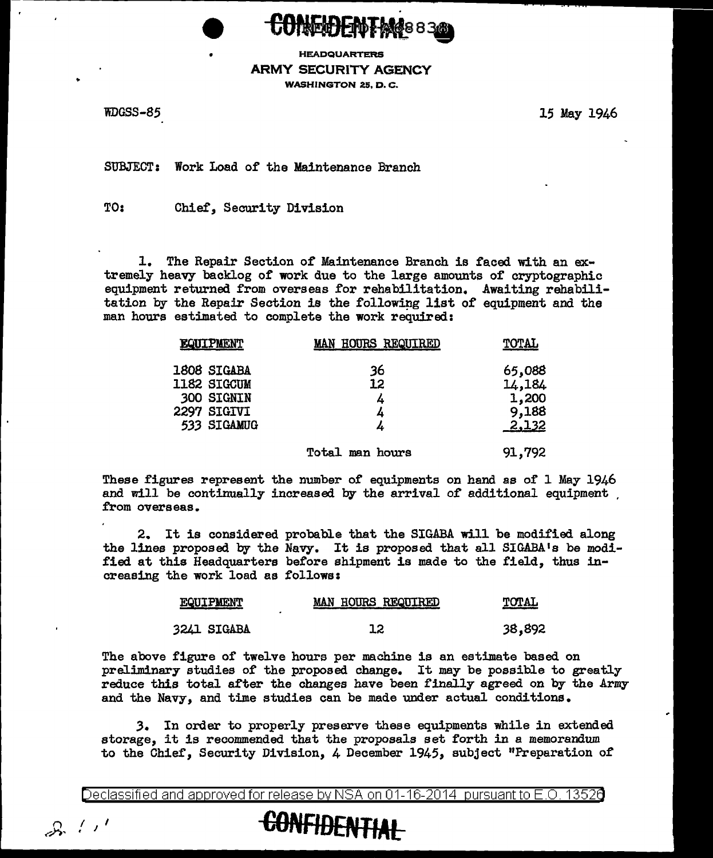

HEADQUARTERS ARMY SECURITY AGENCY WASHINGTON 25, D. C.

WDGSS-85 15 May 1946

SUBJECT: Work Load of the Maintenance Branch

TO: Chief, Security Division

1. The Repair Section of Maintenance Branch is faced with an extremely heavy backlog of' work due to the large amounts of' cryptographic equipment returned from overseas for rehabilitation. Awaiting rehabilitation by the Repair Section is the following list of equipment and the man hours estimated to complete the work required:

| <b>EQUIPMENT</b>           | <b>MAN HOURS REQUIRED</b> | TOTAL            |
|----------------------------|---------------------------|------------------|
| 1808 SIGABA<br>1182 SIGCUM | 36<br>12                  | 65,088<br>14,184 |
| <b>300 SIGNIN</b>          | 4                         | 1,200            |
| 2297 SIGIVI<br>533 SIGAMUG | 4<br>4                    | 9,188<br>2,132   |
|                            | <b>Total man hours</b>    | 91,792           |

These figures represent the number of equipments on hand as of 1 May 1946 and will be continually increased by the arrival of additional equipment .<br>from overseas.

2. It is considered probable that the SIGABA will be modified along the lines proposed by the Navy. It is proposed that all SIGABA <sup>1</sup>s be modified at this Headquarters before shipment is made to the field, thus increasing the work load as follows:

| EQUIPMENT   | MAN HOURS REQUIRED | TOTAL  |
|-------------|--------------------|--------|
| 3241 SIGABA |                    | 38,892 |

The above figure of' twelve hours per machine is an estimate based on preliminary studies of' the proposed change. It may be possible to greatly reduce this total after the changes have been finally agreed on by the Army and the Navy, and time studies can be made under actual conditions.

,3. In order to properly preserve these equipments while in extended storage, it is recommended that the proposals set forth in a memorandum to the Chief, Security Division, 4 December 1945, subject "Preparation of

Declassified and approved for release by NSA on 01-16-2014 pursuantto E .0. 1352a

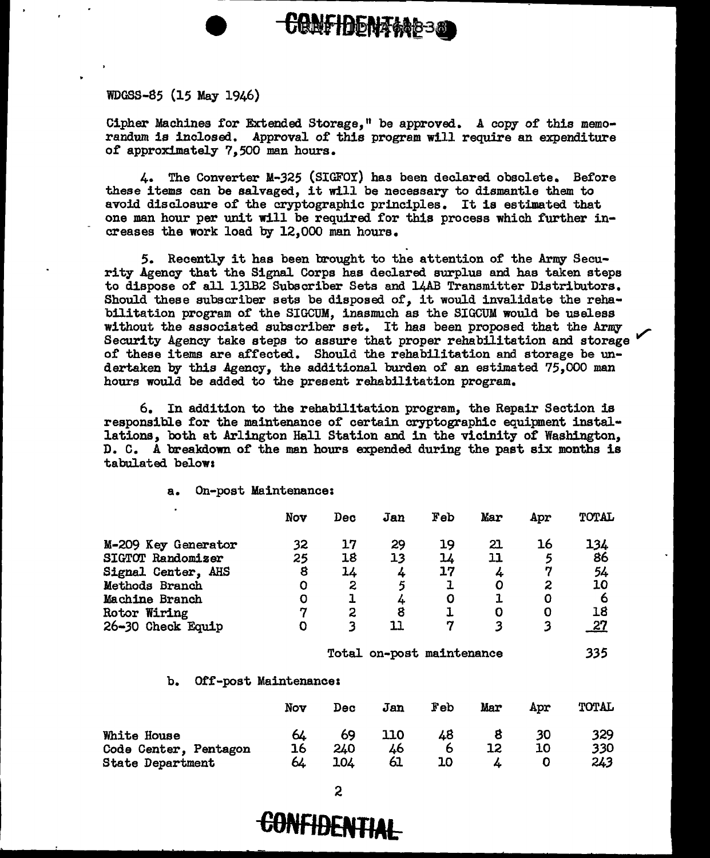## WDGSS-85 (15 May 1946)

Cipher Machines for Extended Storage, 11 be approved. A copy or this memorandum is inclosed. Approval of this program will require an expenditure of approximately 7,500 man hours.

**CONFIDENTANS320** 

4. The Converter M-325 (SIGFOY) has been declared obsolete. Before these items can be salvaged, it will be necessary to dismantle them to avoid disclosure or the cryptographic principles. It is estimated that one man hour per unit will be required. for this process which further increases the work load by 12,000 man hours.

5. Recently it has been brought to the attention of the Army Security Agency that the Signal Corps has declared surplus and has taken steps to dispose of all 131B2 Subscriber Sets and 14AB Transmitter Distributors. Should these subscriber sets be disposed of, it would invalidate the rehabilitation program of the SIGCUM, inasmuch as the SIGCUM would be useless without the associated subscriber set. It has been proposed that the Army Security Agency take steps to assure that proper rehabilitation and storage  $\frac{1}{2}$ of these items are a£fected. Should the rehabilitation and storage be undertaken by this Agency, the additional burden of an estimated 75,000 man hours would be added to the present rehabilitation program.

6. In addition to the rehabilitation program, the Repair Section is responsible for the maintenance or certain cryptographic equipment installations, both at Arlington Hall Station and in the vicinity *ot* Washington, D. C. A breakdown or the man hours expended during the past six months is tabulated belows

a. On-post Maintenance:

|                     | Nov | Dec | Jan | Feb | Mar | Apr | TOTAL      |
|---------------------|-----|-----|-----|-----|-----|-----|------------|
| M-209 Key Generator | 32  | 17  | 29  | 19  | 21  | 16  | 134        |
| SIGTOT Randomizer   | 25  | 18  | 13  | 14  | 11  | 5   | 86         |
| Signal Center, AHS  | 8   | 14  | 4   | 17  | 4   |     | 54         |
| Methods Branch      | O   | 2   | 5   |     | 0   | 2   | 10         |
| Machine Branch      | O   |     |     | O   |     |     |            |
| Rotor Wiring        | IJ  | 2   | 8   |     | O   |     | 18         |
| 26-30 Check Equip   |     | 3   | 11  | 7   | 3   |     | <u> 27</u> |

Total. on-post maintenance

*335* 

b. Off-post Maintenances

|                                                                 | Nov            | Dec              | Jan             | Feb           | Mar | Apr      | TOTAL             |
|-----------------------------------------------------------------|----------------|------------------|-----------------|---------------|-----|----------|-------------------|
| White House<br>Code Center, Pentagon<br><b>State Department</b> | 64<br>16<br>64 | 69<br>240<br>104 | 110<br>46<br>61 | 48<br>O<br>10 |     | 30<br>10 | 329<br>330<br>243 |

2

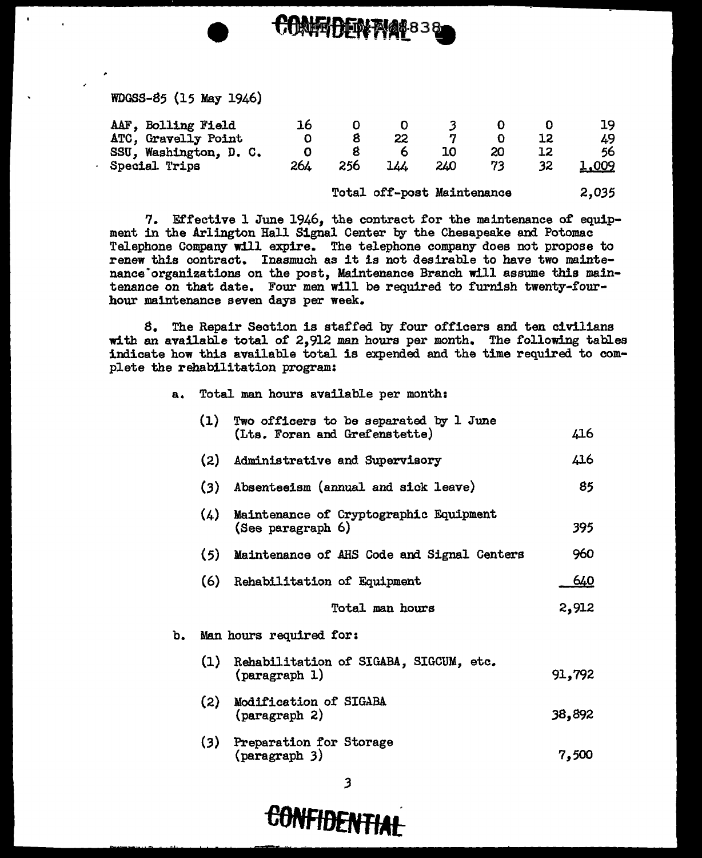## WDGSS-85 (15 May 1946)

| AAF, Bolling Field     |     |     |     |     |  | 19    |
|------------------------|-----|-----|-----|-----|--|-------|
| ATC, Gravelly Point    |     |     |     |     |  | 49    |
| SSU, Washington, D. C. |     |     |     |     |  | 56    |
| Special Trips          | 264 | 256 | 777 | 240 |  | 1,009 |

COMFIDENTAL839

Total off-post Maintenance 2,035

7. Effective 1 June 1946, the contract for the maintenance of equipment in the Arlington Hall Signal Center by the Chesapeake and Potomac Telephone Company will expire. The telephone company does not propose to renew this contract. Inasmuch as it is not desirable to have two maintenance·organizations on the post, Maintenance Branch will assume this maintenance on that date. Four men will be required to furnish twenty-fourhour maintenance seven days per week.

8. The Repair Section is staffed by four officers and ten civilians with an available total of 2,912 man hours per month. The following tables indicate how this available total is expended and the time required to complete the rehabilitation program:

| а. |     | Total man hours available per month:                                    |        |  |  |  |  |  |
|----|-----|-------------------------------------------------------------------------|--------|--|--|--|--|--|
|    | (1) | Two officers to be separated by 1 June<br>(Lts. Foran and Grefenstette) | 416    |  |  |  |  |  |
|    | (2) | Administrative and Supervisory                                          | 416    |  |  |  |  |  |
|    | (3) | Absenteeism (annual and sick leave)                                     | 85     |  |  |  |  |  |
|    | (4) | Maintenance of Cryptographic Equipment<br>(See paragraph 6)             | 395    |  |  |  |  |  |
|    | (5) | Maintenance of AHS Code and Signal Centers                              | 960    |  |  |  |  |  |
|    |     | (6) Rehabilitation of Equipment                                         | 640    |  |  |  |  |  |
|    |     | Total man hours                                                         | 2,912  |  |  |  |  |  |
| b. |     | Man hours required for:                                                 |        |  |  |  |  |  |
|    | (1) | Rehabilitation of SIGABA, SIGCUM, etc.<br>(pargraph 1)                  | 91,792 |  |  |  |  |  |
|    | (2) | Modification of SIGABA<br>(pargraph 2)                                  | 38,892 |  |  |  |  |  |
|    | (3) | Preparation for Storage<br>(paragraph 3)                                | 7,500  |  |  |  |  |  |

 $\overline{\mathbf{3}}$